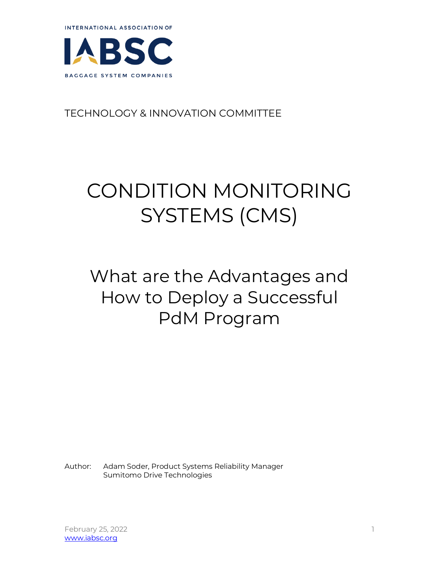



## TECHNOLOGY & INNOVATION COMMITTEE

## CONDITION MONITORING SYSTEMS (CMS)

## What are the Advantages and How to Deploy a Successful PdM Program

Author: Adam Soder, Product Systems Reliability Manager Sumitomo Drive Technologies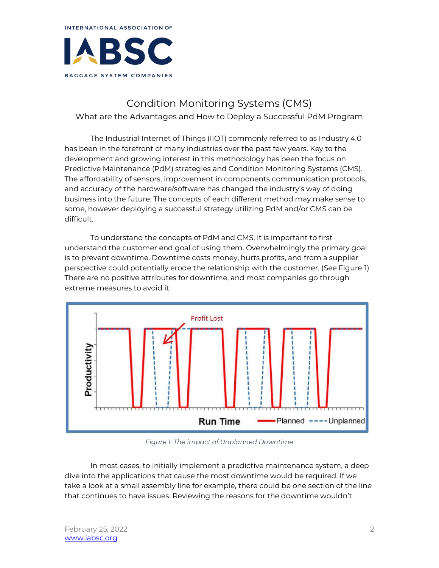

## Condition Monitoring Systems (CMS)

What are the Advantages and How to Deploy a Successful PdM Program

The Industrial Internet of Things (IIOT) commonly referred to as Industry 4.0 has been in the forefront of many industries over the past few years. Key to the development and growing interest in this methodology has been the focus on Predictive Maintenance (PdM) strategies and Condition Monitoring Systems (CMS). The affordability of sensors, improvement in components communication protocols, and accuracy of the hardware/software has changed the industry's way of doing business into the future. The concepts of each different method may make sense to some, however deploying a successful strategy utilizing PdM and/or CMS can be difficult.

To understand the concepts of PdM and CMS, it is important to first understand the customer end goal of using them. Overwhelmingly the primary goal is to prevent downtime. Downtime costs money, hurts profits, and from a supplier perspective could potentially erode the relationship with the customer. (See Figure 1) There are no positive attributes for downtime, and most companies go through extreme measures to avoid it.



*Figure 1: The impact of Unplanned Downtime*

In most cases, to initially implement a predictive maintenance system, a deep dive into the applications that cause the most downtime would be required. If we take a look at a small assembly line for example, there could be one section of the line that continues to have issues. Reviewing the reasons for the downtime wouldn't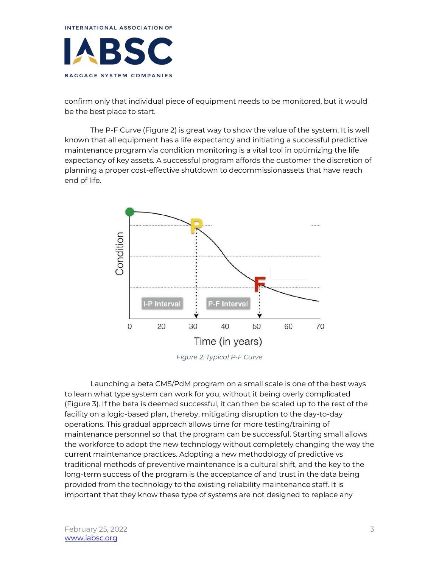

confirm only that individual piece of equipment needs to be monitored, but it would be the best place to start.

The P-F Curve (Figure 2) is great way to show the value of the system. It is well known that all equipment has a life expectancy and initiating a successful predictive maintenance program via condition monitoring is a vital tool in optimizing the life expectancy of key assets. A successful program affords the customer the discretion of planning a proper cost-effective shutdown to decommissionassets that have reach end of life.



*Figure 2: Typical P-F Curve*

Launching a beta CMS/PdM program on a small scale is one of the best ways to learn what type system can work for you, without it being overly complicated (Figure 3). If the beta is deemed successful, it can then be scaled up to the rest of the facility on a logic-based plan, thereby, mitigating disruption to the day-to-day operations. This gradual approach allows time for more testing/training of maintenance personnel so that the program can be successful. Starting small allows the workforce to adopt the new technology without completely changing the way the current maintenance practices. Adopting a new methodology of predictive vs traditional methods of preventive maintenance is a cultural shift, and the key to the long-term success of the program is the acceptance of and trust in the data being provided from the technology to the existing reliability maintenance staff. It is important that they know these type of systems are not designed to replace any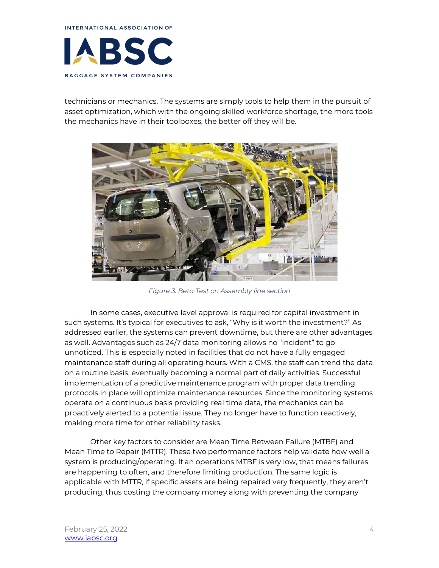

technicians or mechanics. The systems are simply tools to help them in the pursuit of asset optimization, which with the ongoing skilled workforce shortage, the more tools the mechanics have in their toolboxes, the better off they will be.



*Figure 3: Beta Test on Assembly line section*

In some cases, executive level approval is required for capital investment in such systems. It's typical for executives to ask, "Why is it worth the investment?" As addressed earlier, the systems can prevent downtime, but there are other advantages as well. Advantages such as 24/7 data monitoring allows no "incident" to go unnoticed. This is especially noted in facilities that do not have a fully engaged maintenance staff during all operating hours. With a CMS, the staff can trend the data on a routine basis, eventually becoming a normal part of daily activities. Successful implementation of a predictive maintenance program with proper data trending protocols in place will optimize maintenance resources. Since the monitoring systems operate on a continuous basis providing real time data, the mechanics can be proactively alerted to a potential issue. They no longer have to function reactively, making more time for other reliability tasks.

Other key factors to consider are Mean Time Between Failure (MTBF) and Mean Time to Repair (MTTR). These two performance factors help validate how well a system is producing/operating. If an operations MTBF is very low, that means failures are happening to often, and therefore limiting production. The same logic is applicable with MTTR, if specific assets are being repaired very frequently, they aren't producing, thus costing the company money along with preventing the company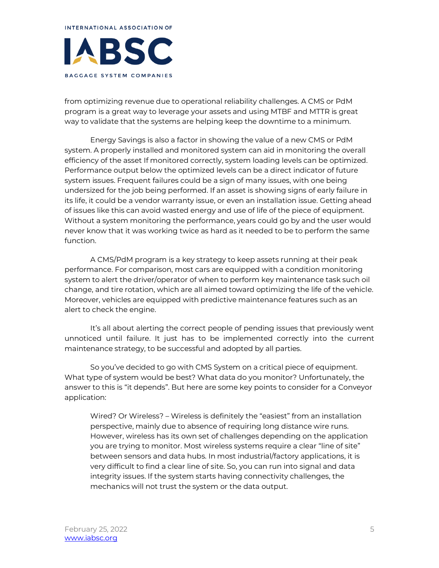INTERNATIONAL ASSOCIATION OF BSC BAGGAGE SYSTEM COMPANIES

from optimizing revenue due to operational reliability challenges. A CMS or PdM program is a great way to leverage your assets and using MTBF and MTTR is great way to validate that the systems are helping keep the downtime to a minimum.

Energy Savings is also a factor in showing the value of a new CMS or PdM system. A properly installed and monitored system can aid in monitoring the overall efficiency of the asset If monitored correctly, system loading levels can be optimized. Performance output below the optimized levels can be a direct indicator of future system issues. Frequent failures could be a sign of many issues, with one being undersized for the job being performed. If an asset is showing signs of early failure in its life, it could be a vendor warranty issue, or even an installation issue. Getting ahead of issues like this can avoid wasted energy and use of life of the piece of equipment. Without a system monitoring the performance, years could go by and the user would never know that it was working twice as hard as it needed to be to perform the same function.

A CMS/PdM program is a key strategy to keep assets running at their peak performance. For comparison, most cars are equipped with a condition monitoring system to alert the driver/operator of when to perform key maintenance task such oil change, and tire rotation, which are all aimed toward optimizing the life of the vehicle. Moreover, vehicles are equipped with predictive maintenance features such as an alert to check the engine.

It's all about alerting the correct people of pending issues that previously went unnoticed until failure. It just has to be implemented correctly into the current maintenance strategy, to be successful and adopted by all parties.

So you've decided to go with CMS System on a critical piece of equipment. What type of system would be best? What data do you monitor? Unfortunately, the answer to this is "it depends". But here are some key points to consider for a Conveyor application:

Wired? Or Wireless? – Wireless is definitely the "easiest" from an installation perspective, mainly due to absence of requiring long distance wire runs. However, wireless has its own set of challenges depending on the application you are trying to monitor. Most wireless systems require a clear "line of site" between sensors and data hubs. In most industrial/factory applications, it is very difficult to find a clear line of site. So, you can run into signal and data integrity issues. If the system starts having connectivity challenges, the mechanics will not trust the system or the data output.